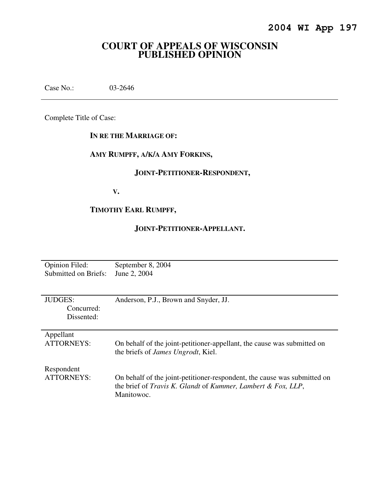# **COURT OF APPEALS OF WISCONSIN PUBLISHED OPINION**

Case No.: 03-2646

Complete Title of Case:

### **IN RE THE MARRIAGE OF:**

# **AMY RUMPFF, A/K/A AMY FORKINS,**

# **JOINT-PETITIONER-RESPONDENT,**

 **V.** 

# **TIMOTHY EARL RUMPFF,**

### **JOINT-PETITIONER-APPELLANT.**

| Opinion Filed:                             | September 8, 2004                                                                                                                                      |
|--------------------------------------------|--------------------------------------------------------------------------------------------------------------------------------------------------------|
| Submitted on Briefs:                       | June 2, 2004                                                                                                                                           |
| <b>JUDGES:</b><br>Concurred:<br>Dissented: | Anderson, P.J., Brown and Snyder, JJ.                                                                                                                  |
| Appellant                                  | On behalf of the joint-petitioner-appellant, the cause was submitted on                                                                                |
| <b>ATTORNEYS:</b>                          | the briefs of <i>James Ungrodt</i> , Kiel.                                                                                                             |
| Respondent<br><b>ATTORNEYS:</b>            | On behalf of the joint-petitioner-respondent, the cause was submitted on<br>the brief of Travis K. Glandt of Kummer, Lambert & Fox, LLP,<br>Manitowoc. |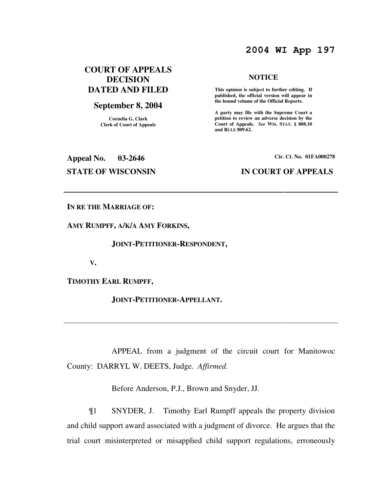# **2004 WI App 197**

# **COURT OF APPEALS DECISION DATED AND FILED**

### **September 8, 2004**

**Cornelia G. Clark Clerk of Court of Appeals**

# **NOTICE**

 **This opinion is subject to further editing. If published, the official version will appear in the bound volume of the Official Reports.** 

**A party may file with the Supreme Court a petition to review an adverse decision by the Court of Appeals.** *See* **WIS. STAT. § 808.10 and RULE 809.62.** 

**Appeal No. 03-2646 Cir. Ct. No. 01FA000278 STATE OF WISCONSIN IN COURT OF APPEALS** 

**IN RE THE MARRIAGE OF:** 

**AMY RUMPFF, A/K/A AMY FORKINS,** 

 **JOINT-PETITIONER-RESPONDENT,** 

 **V.** 

**TIMOTHY EARL RUMPFF,** 

 **JOINT-PETITIONER-APPELLANT.** 

 APPEAL from a judgment of the circuit court for Manitowoc County: DARRYL W. DEETS, Judge. *Affirmed*.

Before Anderson, P.J., Brown and Snyder, JJ.

¶1 SNYDER, J. Timothy Earl Rumpff appeals the property division and child support award associated with a judgment of divorce. He argues that the trial court misinterpreted or misapplied child support regulations, erroneously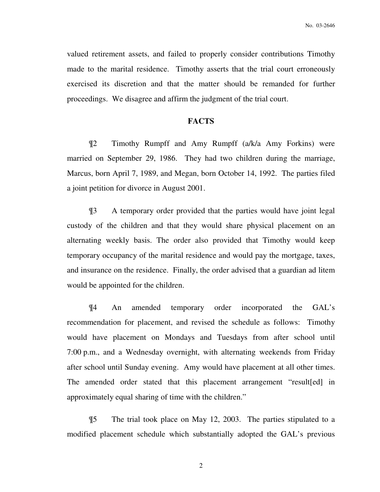valued retirement assets, and failed to properly consider contributions Timothy made to the marital residence. Timothy asserts that the trial court erroneously exercised its discretion and that the matter should be remanded for further proceedings. We disagree and affirm the judgment of the trial court.

### **FACTS**

¶2 Timothy Rumpff and Amy Rumpff (a/k/a Amy Forkins) were married on September 29, 1986. They had two children during the marriage, Marcus, born April 7, 1989, and Megan, born October 14, 1992. The parties filed a joint petition for divorce in August 2001.

¶3 A temporary order provided that the parties would have joint legal custody of the children and that they would share physical placement on an alternating weekly basis. The order also provided that Timothy would keep temporary occupancy of the marital residence and would pay the mortgage, taxes, and insurance on the residence. Finally, the order advised that a guardian ad litem would be appointed for the children.

¶4 An amended temporary order incorporated the GAL's recommendation for placement, and revised the schedule as follows: Timothy would have placement on Mondays and Tuesdays from after school until 7:00 p.m., and a Wednesday overnight, with alternating weekends from Friday after school until Sunday evening. Amy would have placement at all other times. The amended order stated that this placement arrangement "result[ed] in approximately equal sharing of time with the children."

¶5 The trial took place on May 12, 2003. The parties stipulated to a modified placement schedule which substantially adopted the GAL's previous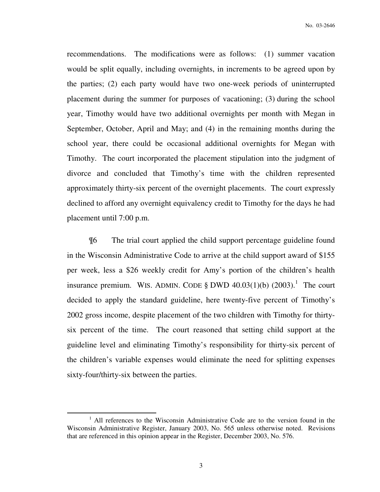recommendations. The modifications were as follows: (1) summer vacation would be split equally, including overnights, in increments to be agreed upon by the parties; (2) each party would have two one-week periods of uninterrupted placement during the summer for purposes of vacationing; (3) during the school year, Timothy would have two additional overnights per month with Megan in September, October, April and May; and (4) in the remaining months during the school year, there could be occasional additional overnights for Megan with Timothy. The court incorporated the placement stipulation into the judgment of divorce and concluded that Timothy's time with the children represented approximately thirty-six percent of the overnight placements. The court expressly declined to afford any overnight equivalency credit to Timothy for the days he had placement until 7:00 p.m.

¶6 The trial court applied the child support percentage guideline found in the Wisconsin Administrative Code to arrive at the child support award of \$155 per week, less a \$26 weekly credit for Amy's portion of the children's health insurance premium. WIS. ADMIN. CODE  $\S$  DWD 40.03(1)(b) (2003).<sup>1</sup> The court decided to apply the standard guideline, here twenty-five percent of Timothy's 2002 gross income, despite placement of the two children with Timothy for thirtysix percent of the time. The court reasoned that setting child support at the guideline level and eliminating Timothy's responsibility for thirty-six percent of the children's variable expenses would eliminate the need for splitting expenses sixty-four/thirty-six between the parties.

<sup>&</sup>lt;sup>1</sup> All references to the Wisconsin Administrative Code are to the version found in the Wisconsin Administrative Register, January 2003, No. 565 unless otherwise noted. Revisions that are referenced in this opinion appear in the Register, December 2003, No. 576.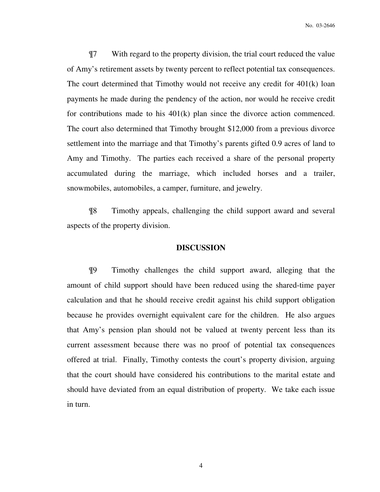¶7 With regard to the property division, the trial court reduced the value of Amy's retirement assets by twenty percent to reflect potential tax consequences. The court determined that Timothy would not receive any credit for 401(k) loan payments he made during the pendency of the action, nor would he receive credit for contributions made to his 401(k) plan since the divorce action commenced. The court also determined that Timothy brought \$12,000 from a previous divorce settlement into the marriage and that Timothy's parents gifted 0.9 acres of land to Amy and Timothy. The parties each received a share of the personal property accumulated during the marriage, which included horses and a trailer, snowmobiles, automobiles, a camper, furniture, and jewelry.

¶8 Timothy appeals, challenging the child support award and several aspects of the property division.

### **DISCUSSION**

¶9 Timothy challenges the child support award, alleging that the amount of child support should have been reduced using the shared-time payer calculation and that he should receive credit against his child support obligation because he provides overnight equivalent care for the children. He also argues that Amy's pension plan should not be valued at twenty percent less than its current assessment because there was no proof of potential tax consequences offered at trial. Finally, Timothy contests the court's property division, arguing that the court should have considered his contributions to the marital estate and should have deviated from an equal distribution of property. We take each issue in turn.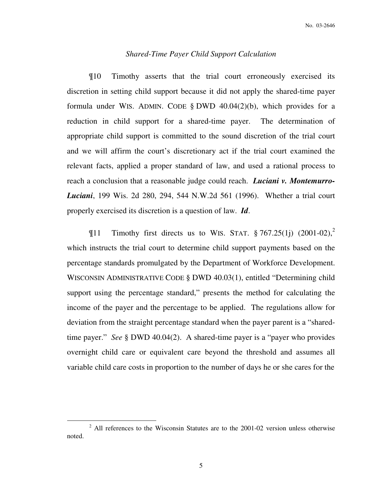### *Shared-Time Payer Child Support Calculation*

¶10 Timothy asserts that the trial court erroneously exercised its discretion in setting child support because it did not apply the shared-time payer formula under WIS. ADMIN. CODE § DWD 40.04(2)(b), which provides for a reduction in child support for a shared-time payer. The determination of appropriate child support is committed to the sound discretion of the trial court and we will affirm the court's discretionary act if the trial court examined the relevant facts, applied a proper standard of law, and used a rational process to reach a conclusion that a reasonable judge could reach. *Luciani v. Montemurro-Luciani*, 199 Wis. 2d 280, 294, 544 N.W.2d 561 (1996). Whether a trial court properly exercised its discretion is a question of law. *Id*.

 $\P$ 11 Timothy first directs us to WIS. STAT. § 767.25(1j) (2001-02),<sup>2</sup> which instructs the trial court to determine child support payments based on the percentage standards promulgated by the Department of Workforce Development. WISCONSIN ADMINISTRATIVE CODE § DWD 40.03(1), entitled "Determining child support using the percentage standard," presents the method for calculating the income of the payer and the percentage to be applied. The regulations allow for deviation from the straight percentage standard when the payer parent is a "sharedtime payer." *See* § DWD 40.04(2). A shared-time payer is a "payer who provides overnight child care or equivalent care beyond the threshold and assumes all variable child care costs in proportion to the number of days he or she cares for the

 $2$  All references to the Wisconsin Statutes are to the 2001-02 version unless otherwise noted.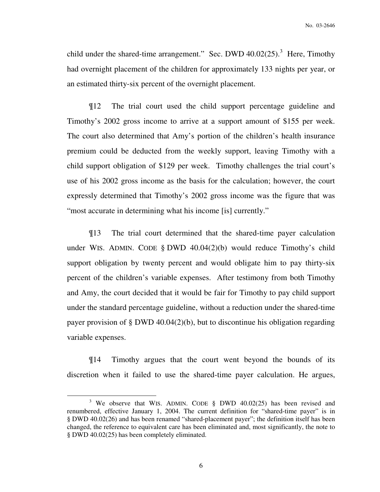child under the shared-time arrangement." Sec. DWD  $40.02(25)$ .<sup>3</sup> Here, Timothy had overnight placement of the children for approximately 133 nights per year, or an estimated thirty-six percent of the overnight placement.

¶12 The trial court used the child support percentage guideline and Timothy's 2002 gross income to arrive at a support amount of \$155 per week. The court also determined that Amy's portion of the children's health insurance premium could be deducted from the weekly support, leaving Timothy with a child support obligation of \$129 per week. Timothy challenges the trial court's use of his 2002 gross income as the basis for the calculation; however, the court expressly determined that Timothy's 2002 gross income was the figure that was "most accurate in determining what his income [is] currently."

¶13 The trial court determined that the shared-time payer calculation under WIS. ADMIN. CODE § DWD 40.04(2)(b) would reduce Timothy's child support obligation by twenty percent and would obligate him to pay thirty-six percent of the children's variable expenses. After testimony from both Timothy and Amy, the court decided that it would be fair for Timothy to pay child support under the standard percentage guideline, without a reduction under the shared-time payer provision of § DWD 40.04(2)(b), but to discontinue his obligation regarding variable expenses.

¶14 Timothy argues that the court went beyond the bounds of its discretion when it failed to use the shared-time payer calculation. He argues,

 $\overline{a}$ 

<sup>&</sup>lt;sup>3</sup> We observe that WIS. ADMIN. CODE § DWD 40.02(25) has been revised and renumbered, effective January 1, 2004. The current definition for "shared-time payer" is in § DWD 40.02(26) and has been renamed "shared-placement payer"; the definition itself has been changed, the reference to equivalent care has been eliminated and, most significantly, the note to § DWD 40.02(25) has been completely eliminated.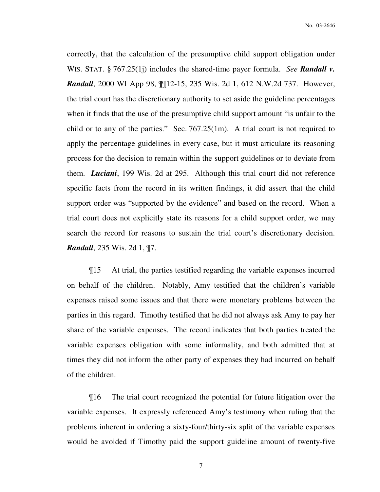correctly, that the calculation of the presumptive child support obligation under WIS. STAT. § 767.25(1j) includes the shared-time payer formula. *See Randall v. Randall*, 2000 WI App 98,  $\mathbb{I}[12-15, 235 \text{ Wis.} 2d 1, 612 \text{ N.W.} 2d 737$ . However, the trial court has the discretionary authority to set aside the guideline percentages when it finds that the use of the presumptive child support amount "is unfair to the child or to any of the parties." Sec. 767.25(1m). A trial court is not required to apply the percentage guidelines in every case, but it must articulate its reasoning process for the decision to remain within the support guidelines or to deviate from them. *Luciani*, 199 Wis. 2d at 295. Although this trial court did not reference specific facts from the record in its written findings, it did assert that the child support order was "supported by the evidence" and based on the record. When a trial court does not explicitly state its reasons for a child support order, we may search the record for reasons to sustain the trial court's discretionary decision. *Randall*, 235 Wis. 2d 1, ¶7.

¶15 At trial, the parties testified regarding the variable expenses incurred on behalf of the children. Notably, Amy testified that the children's variable expenses raised some issues and that there were monetary problems between the parties in this regard. Timothy testified that he did not always ask Amy to pay her share of the variable expenses. The record indicates that both parties treated the variable expenses obligation with some informality, and both admitted that at times they did not inform the other party of expenses they had incurred on behalf of the children.

¶16 The trial court recognized the potential for future litigation over the variable expenses. It expressly referenced Amy's testimony when ruling that the problems inherent in ordering a sixty-four/thirty-six split of the variable expenses would be avoided if Timothy paid the support guideline amount of twenty-five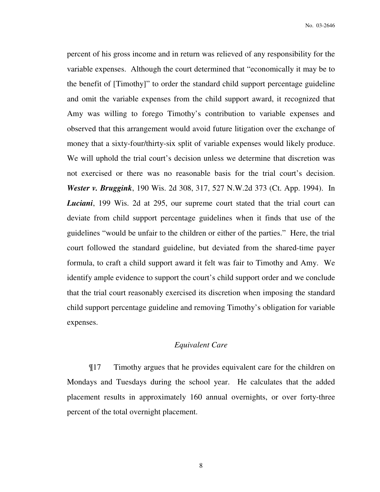percent of his gross income and in return was relieved of any responsibility for the variable expenses. Although the court determined that "economically it may be to the benefit of [Timothy]" to order the standard child support percentage guideline and omit the variable expenses from the child support award, it recognized that Amy was willing to forego Timothy's contribution to variable expenses and observed that this arrangement would avoid future litigation over the exchange of money that a sixty-four/thirty-six split of variable expenses would likely produce. We will uphold the trial court's decision unless we determine that discretion was not exercised or there was no reasonable basis for the trial court's decision. *Wester v. Bruggink*, 190 Wis. 2d 308, 317, 527 N.W.2d 373 (Ct. App. 1994). In *Luciani*, 199 Wis. 2d at 295, our supreme court stated that the trial court can deviate from child support percentage guidelines when it finds that use of the guidelines "would be unfair to the children or either of the parties." Here, the trial court followed the standard guideline, but deviated from the shared-time payer formula, to craft a child support award it felt was fair to Timothy and Amy. We identify ample evidence to support the court's child support order and we conclude that the trial court reasonably exercised its discretion when imposing the standard child support percentage guideline and removing Timothy's obligation for variable expenses.

### *Equivalent Care*

¶17 Timothy argues that he provides equivalent care for the children on Mondays and Tuesdays during the school year. He calculates that the added placement results in approximately 160 annual overnights, or over forty-three percent of the total overnight placement.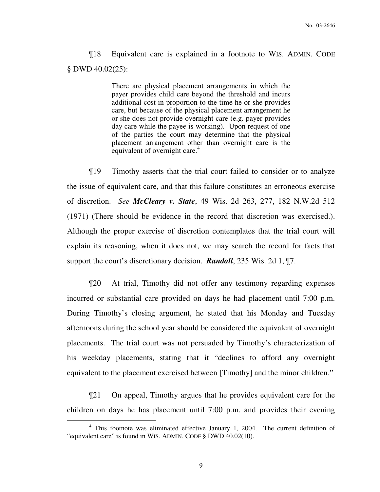¶18 Equivalent care is explained in a footnote to WIS. ADMIN. CODE § DWD 40.02(25):

> There are physical placement arrangements in which the payer provides child care beyond the threshold and incurs additional cost in proportion to the time he or she provides care, but because of the physical placement arrangement he or she does not provide overnight care (e.g. payer provides day care while the payee is working). Upon request of one of the parties the court may determine that the physical placement arrangement other than overnight care is the equivalent of overnight care.<sup>4</sup>

¶19 Timothy asserts that the trial court failed to consider or to analyze the issue of equivalent care, and that this failure constitutes an erroneous exercise of discretion. *See McCleary v. State*, 49 Wis. 2d 263, 277, 182 N.W.2d 512 (1971) (There should be evidence in the record that discretion was exercised.). Although the proper exercise of discretion contemplates that the trial court will explain its reasoning, when it does not, we may search the record for facts that support the court's discretionary decision. *Randall*, 235 Wis. 2d 1, ¶7.

¶20 At trial, Timothy did not offer any testimony regarding expenses incurred or substantial care provided on days he had placement until 7:00 p.m. During Timothy's closing argument, he stated that his Monday and Tuesday afternoons during the school year should be considered the equivalent of overnight placements. The trial court was not persuaded by Timothy's characterization of his weekday placements, stating that it "declines to afford any overnight equivalent to the placement exercised between [Timothy] and the minor children."

¶21 On appeal, Timothy argues that he provides equivalent care for the children on days he has placement until 7:00 p.m. and provides their evening

<sup>&</sup>lt;sup>4</sup> This footnote was eliminated effective January 1, 2004. The current definition of "equivalent care" is found in WIS. ADMIN. CODE § DWD 40.02(10).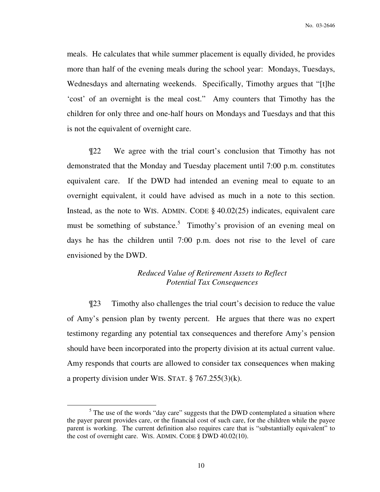meals. He calculates that while summer placement is equally divided, he provides more than half of the evening meals during the school year: Mondays, Tuesdays, Wednesdays and alternating weekends. Specifically, Timothy argues that "[t]he 'cost' of an overnight is the meal cost." Amy counters that Timothy has the children for only three and one-half hours on Mondays and Tuesdays and that this is not the equivalent of overnight care.

¶22 We agree with the trial court's conclusion that Timothy has not demonstrated that the Monday and Tuesday placement until 7:00 p.m. constitutes equivalent care. If the DWD had intended an evening meal to equate to an overnight equivalent, it could have advised as much in a note to this section. Instead, as the note to WIS. ADMIN. CODE § 40.02(25) indicates, equivalent care must be something of substance.<sup>5</sup> Timothy's provision of an evening meal on days he has the children until 7:00 p.m. does not rise to the level of care envisioned by the DWD.

### *Reduced Value of Retirement Assets to Reflect Potential Tax Consequences*

¶23 Timothy also challenges the trial court's decision to reduce the value of Amy's pension plan by twenty percent. He argues that there was no expert testimony regarding any potential tax consequences and therefore Amy's pension should have been incorporated into the property division at its actual current value. Amy responds that courts are allowed to consider tax consequences when making a property division under WIS. STAT. § 767.255(3)(k).

 $<sup>5</sup>$  The use of the words "day care" suggests that the DWD contemplated a situation where</sup> the payer parent provides care, or the financial cost of such care, for the children while the payee parent is working. The current definition also requires care that is "substantially equivalent" to the cost of overnight care. WIS. ADMIN. CODE § DWD 40.02(10).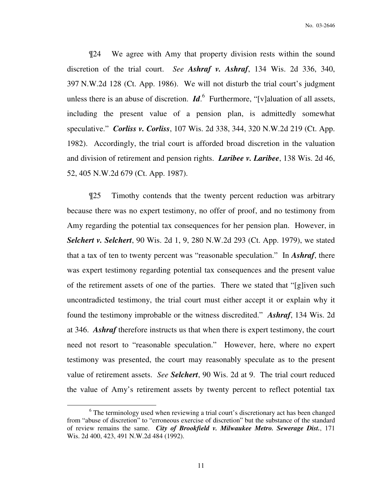¶24 We agree with Amy that property division rests within the sound discretion of the trial court. *See Ashraf v. Ashraf*, 134 Wis. 2d 336, 340, 397 N.W.2d 128 (Ct. App. 1986). We will not disturb the trial court's judgment unless there is an abuse of discretion.  $\mathbf{Id}^6$  Furthermore, "[v]aluation of all assets, including the present value of a pension plan, is admittedly somewhat speculative." *Corliss v. Corliss*, 107 Wis. 2d 338, 344, 320 N.W.2d 219 (Ct. App. 1982). Accordingly, the trial court is afforded broad discretion in the valuation and division of retirement and pension rights. *Laribee v. Laribee*, 138 Wis. 2d 46, 52, 405 N.W.2d 679 (Ct. App. 1987).

¶25 Timothy contends that the twenty percent reduction was arbitrary because there was no expert testimony, no offer of proof, and no testimony from Amy regarding the potential tax consequences for her pension plan. However, in *Selchert v. Selchert*, 90 Wis. 2d 1, 9, 280 N.W.2d 293 (Ct. App. 1979), we stated that a tax of ten to twenty percent was "reasonable speculation." In *Ashraf*, there was expert testimony regarding potential tax consequences and the present value of the retirement assets of one of the parties. There we stated that "[g]iven such uncontradicted testimony, the trial court must either accept it or explain why it found the testimony improbable or the witness discredited." *Ashraf*, 134 Wis. 2d at 346. *Ashraf* therefore instructs us that when there is expert testimony, the court need not resort to "reasonable speculation." However, here, where no expert testimony was presented, the court may reasonably speculate as to the present value of retirement assets. *See Selchert*, 90 Wis. 2d at 9. The trial court reduced the value of Amy's retirement assets by twenty percent to reflect potential tax

 $\overline{a}$ 

<sup>&</sup>lt;sup>6</sup> The terminology used when reviewing a trial court's discretionary act has been changed from "abuse of discretion" to "erroneous exercise of discretion" but the substance of the standard of review remains the same. *City of Brookfield v. Milwaukee Metro. Sewerage Dist.*, 171 Wis. 2d 400, 423, 491 N.W.2d 484 (1992).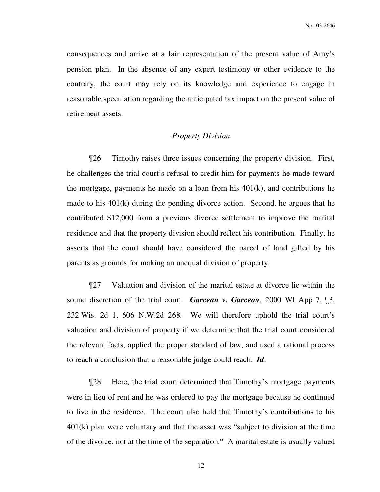consequences and arrive at a fair representation of the present value of Amy's pension plan. In the absence of any expert testimony or other evidence to the contrary, the court may rely on its knowledge and experience to engage in reasonable speculation regarding the anticipated tax impact on the present value of retirement assets.

### *Property Division*

¶26 Timothy raises three issues concerning the property division. First, he challenges the trial court's refusal to credit him for payments he made toward the mortgage, payments he made on a loan from his  $401(k)$ , and contributions he made to his 401(k) during the pending divorce action. Second, he argues that he contributed \$12,000 from a previous divorce settlement to improve the marital residence and that the property division should reflect his contribution. Finally, he asserts that the court should have considered the parcel of land gifted by his parents as grounds for making an unequal division of property.

¶27 Valuation and division of the marital estate at divorce lie within the sound discretion of the trial court. *Garceau v. Garceau*, 2000 WI App 7, ¶3, 232 Wis. 2d 1, 606 N.W.2d 268. We will therefore uphold the trial court's valuation and division of property if we determine that the trial court considered the relevant facts, applied the proper standard of law, and used a rational process to reach a conclusion that a reasonable judge could reach. *Id*.

¶28 Here, the trial court determined that Timothy's mortgage payments were in lieu of rent and he was ordered to pay the mortgage because he continued to live in the residence. The court also held that Timothy's contributions to his 401(k) plan were voluntary and that the asset was "subject to division at the time of the divorce, not at the time of the separation." A marital estate is usually valued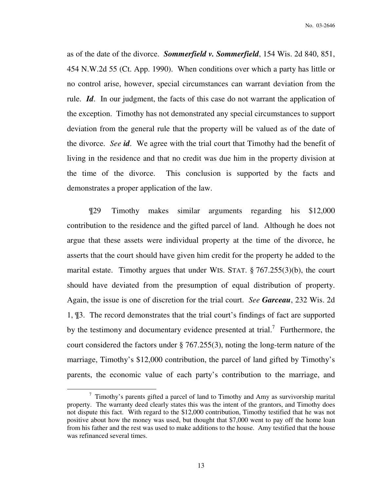as of the date of the divorce. *Sommerfield v. Sommerfield*, 154 Wis. 2d 840, 851, 454 N.W.2d 55 (Ct. App. 1990). When conditions over which a party has little or no control arise, however, special circumstances can warrant deviation from the rule. *Id*. In our judgment, the facts of this case do not warrant the application of the exception. Timothy has not demonstrated any special circumstances to support deviation from the general rule that the property will be valued as of the date of the divorce. *See id*. We agree with the trial court that Timothy had the benefit of living in the residence and that no credit was due him in the property division at the time of the divorce. This conclusion is supported by the facts and demonstrates a proper application of the law.

¶29 Timothy makes similar arguments regarding his \$12,000 contribution to the residence and the gifted parcel of land. Although he does not argue that these assets were individual property at the time of the divorce, he asserts that the court should have given him credit for the property he added to the marital estate. Timothy argues that under WIS. STAT. § 767.255(3)(b), the court should have deviated from the presumption of equal distribution of property. Again, the issue is one of discretion for the trial court. *See Garceau*, 232 Wis. 2d 1, ¶3. The record demonstrates that the trial court's findings of fact are supported by the testimony and documentary evidence presented at trial.<sup>7</sup> Furthermore, the court considered the factors under § 767.255(3), noting the long-term nature of the marriage, Timothy's \$12,000 contribution, the parcel of land gifted by Timothy's parents, the economic value of each party's contribution to the marriage, and

 $\overline{a}$ 

 $7$  Timothy's parents gifted a parcel of land to Timothy and Amy as survivorship marital property. The warranty deed clearly states this was the intent of the grantors, and Timothy does not dispute this fact. With regard to the \$12,000 contribution, Timothy testified that he was not positive about how the money was used, but thought that \$7,000 went to pay off the home loan from his father and the rest was used to make additions to the house. Amy testified that the house was refinanced several times.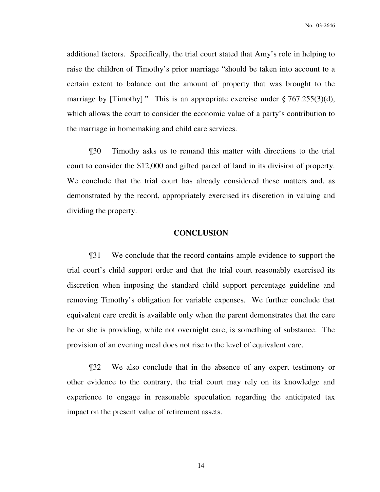additional factors. Specifically, the trial court stated that Amy's role in helping to raise the children of Timothy's prior marriage "should be taken into account to a certain extent to balance out the amount of property that was brought to the marriage by [Timothy]." This is an appropriate exercise under § 767.255(3)(d), which allows the court to consider the economic value of a party's contribution to the marriage in homemaking and child care services.

¶30 Timothy asks us to remand this matter with directions to the trial court to consider the \$12,000 and gifted parcel of land in its division of property. We conclude that the trial court has already considered these matters and, as demonstrated by the record, appropriately exercised its discretion in valuing and dividing the property.

### **CONCLUSION**

¶31 We conclude that the record contains ample evidence to support the trial court's child support order and that the trial court reasonably exercised its discretion when imposing the standard child support percentage guideline and removing Timothy's obligation for variable expenses. We further conclude that equivalent care credit is available only when the parent demonstrates that the care he or she is providing, while not overnight care, is something of substance. The provision of an evening meal does not rise to the level of equivalent care.

¶32 We also conclude that in the absence of any expert testimony or other evidence to the contrary, the trial court may rely on its knowledge and experience to engage in reasonable speculation regarding the anticipated tax impact on the present value of retirement assets.